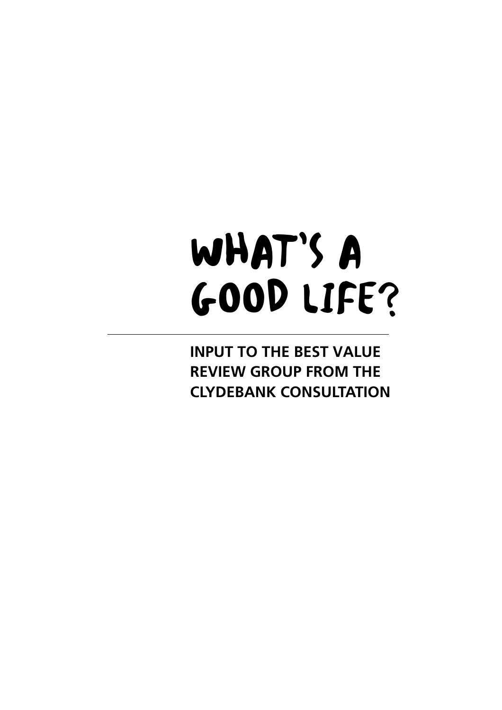# WHAT'S A GOOD LIFE?

**INPUT TO THE BEST VALUE REVIEW GROUP FROM THE CLYDEBANK CONSULTATION**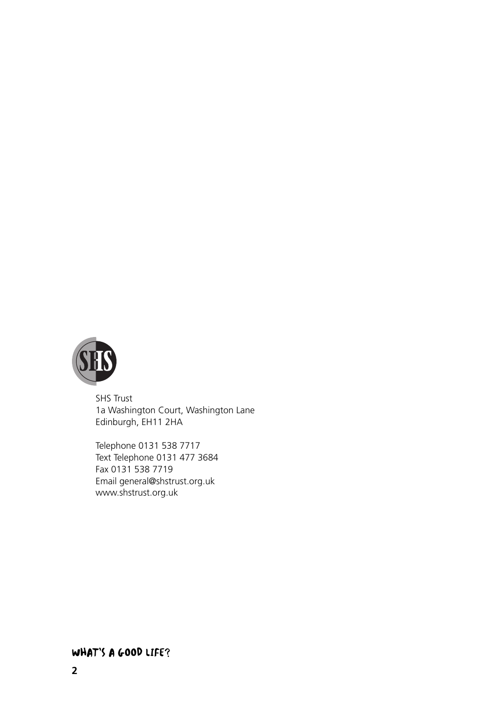

SHS Trust 1a Washington Court, Washington Lane Edinburgh, EH11 2HA

Telephone 0131 538 7717 Text Telephone 0131 477 3684 Fax 0131 538 7719 Email general@shstrust.org.uk www.shstrust.org.uk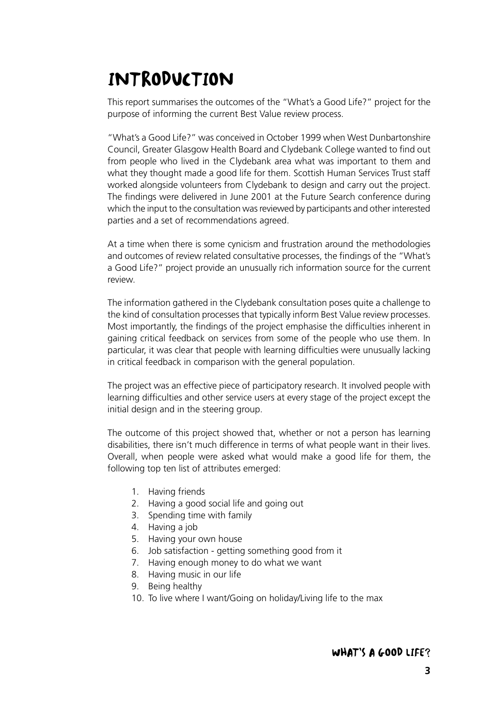# INTRODUCTION

This report summarises the outcomes of the "What's a Good Life?" project for the purpose of informing the current Best Value review process.

"What's a Good Life?" was conceived in October 1999 when West Dunbartonshire Council, Greater Glasgow Health Board and Clydebank College wanted to find out from people who lived in the Clydebank area what was important to them and what they thought made a good life for them. Scottish Human Services Trust staff worked alongside volunteers from Clydebank to design and carry out the project. The findings were delivered in June 2001 at the Future Search conference during which the input to the consultation was reviewed by participants and other interested parties and a set of recommendations agreed.

At a time when there is some cynicism and frustration around the methodologies and outcomes of review related consultative processes, the findings of the "What's a Good Life?" project provide an unusually rich information source for the current review.

The information gathered in the Clydebank consultation poses quite a challenge to the kind of consultation processes that typically inform Best Value review processes. Most importantly, the findings of the project emphasise the difficulties inherent in gaining critical feedback on services from some of the people who use them. In particular, it was clear that people with learning difficulties were unusually lacking in critical feedback in comparison with the general population.

The project was an effective piece of participatory research. It involved people with learning difficulties and other service users at every stage of the project except the initial design and in the steering group.

The outcome of this project showed that, whether or not a person has learning disabilities, there isn't much difference in terms of what people want in their lives. Overall, when people were asked what would make a good life for them, the following top ten list of attributes emerged:

- 1. Having friends
- 2. Having a good social life and going out
- 3. Spending time with family
- 4. Having a job
- 5. Having your own house
- 6. Job satisfaction getting something good from it
- 7. Having enough money to do what we want
- 8. Having music in our life
- 9. Being healthy
- 10. To live where I want/Going on holiday/Living life to the max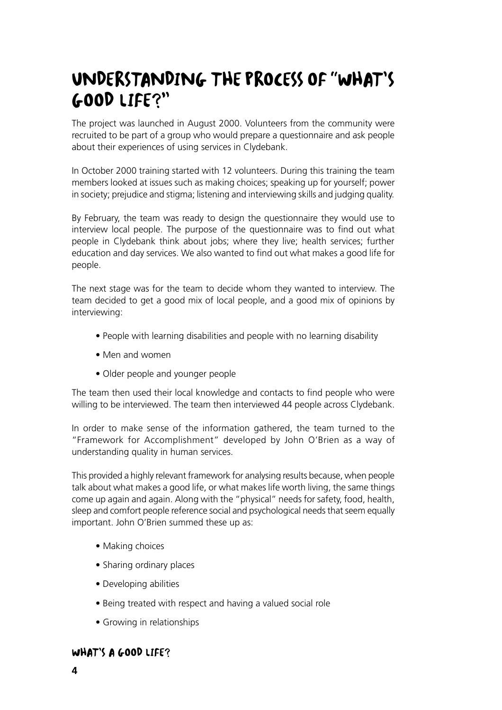# UNDERSTANDING THE PROCESS OF "WHAT'S GOOD LIFE?"

The project was launched in August 2000. Volunteers from the community were recruited to be part of a group who would prepare a questionnaire and ask people about their experiences of using services in Clydebank.

In October 2000 training started with 12 volunteers. During this training the team members looked at issues such as making choices; speaking up for yourself; power in society; prejudice and stigma; listening and interviewing skills and judging quality.

By February, the team was ready to design the questionnaire they would use to interview local people. The purpose of the questionnaire was to find out what people in Clydebank think about jobs; where they live; health services; further education and day services. We also wanted to find out what makes a good life for people.

The next stage was for the team to decide whom they wanted to interview. The team decided to get a good mix of local people, and a good mix of opinions by interviewing:

- People with learning disabilities and people with no learning disability
- Men and women
- Older people and younger people

The team then used their local knowledge and contacts to find people who were willing to be interviewed. The team then interviewed 44 people across Clydebank.

In order to make sense of the information gathered, the team turned to the "Framework for Accomplishment" developed by John O'Brien as a way of understanding quality in human services.

This provided a highly relevant framework for analysing results because, when people talk about what makes a good life, or what makes life worth living, the same things come up again and again. Along with the "physical" needs for safety, food, health, sleep and comfort people reference social and psychological needs that seem equally important. John O'Brien summed these up as:

- Making choices
- Sharing ordinary places
- Developing abilities
- Being treated with respect and having a valued social role
- Growing in relationships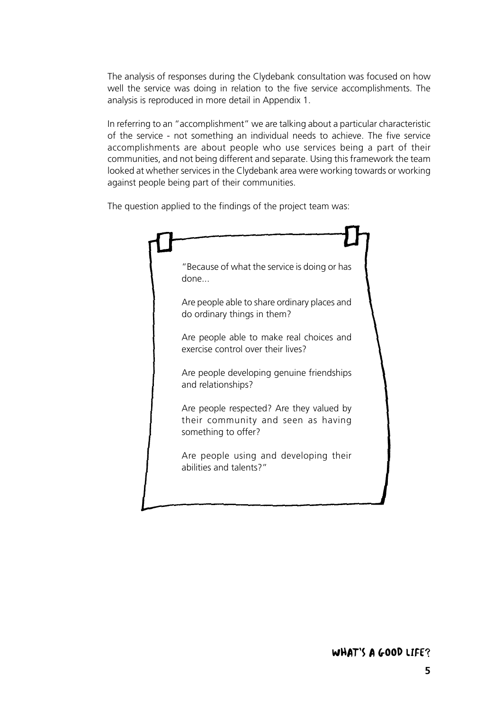The analysis of responses during the Clydebank consultation was focused on how well the service was doing in relation to the five service accomplishments. The analysis is reproduced in more detail in Appendix 1.

In referring to an "accomplishment" we are talking about a particular characteristic of the service - not something an individual needs to achieve. The five service accomplishments are about people who use services being a part of their communities, and not being different and separate. Using this framework the team looked at whether services in the Clydebank area were working towards or working against people being part of their communities.

The question applied to the findings of the project team was:

| "Because of what the service is doing or has<br>done                                                  |  |
|-------------------------------------------------------------------------------------------------------|--|
| Are people able to share ordinary places and<br>do ordinary things in them?                           |  |
| Are people able to make real choices and<br>exercise control over their lives?                        |  |
| Are people developing genuine friendships<br>and relationships?                                       |  |
| Are people respected? Are they valued by<br>their community and seen as having<br>something to offer? |  |
| Are people using and developing their<br>abilities and talents?"                                      |  |
|                                                                                                       |  |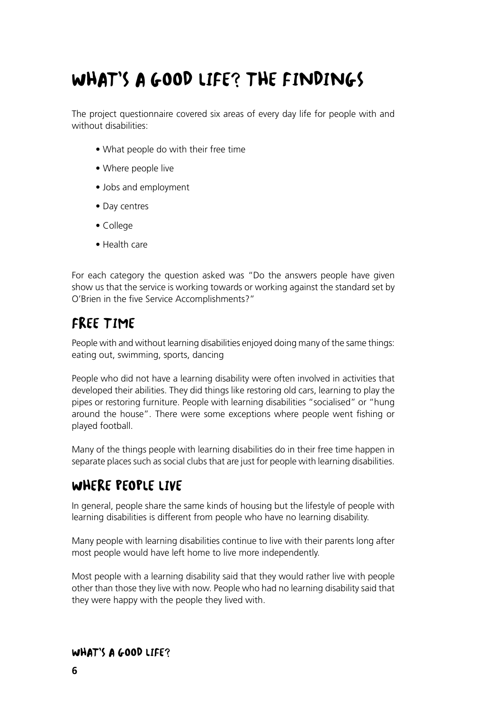# WHAT'S A GOOD LIFE? THE FINDINGS

The project questionnaire covered six areas of every day life for people with and without disabilities:

- What people do with their free time
- Where people live
- Jobs and employment
- Day centres
- College
- Health care

For each category the question asked was "Do the answers people have given show us that the service is working towards or working against the standard set by O'Brien in the five Service Accomplishments?"

# FREE TIME

People with and without learning disabilities enjoyed doing many of the same things: eating out, swimming, sports, dancing

People who did not have a learning disability were often involved in activities that developed their abilities. They did things like restoring old cars, learning to play the pipes or restoring furniture. People with learning disabilities "socialised" or "hung around the house". There were some exceptions where people went fishing or played football.

Many of the things people with learning disabilities do in their free time happen in separate places such as social clubs that are just for people with learning disabilities.

# WHERE PEOPLE LIVE

In general, people share the same kinds of housing but the lifestyle of people with learning disabilities is different from people who have no learning disability.

Many people with learning disabilities continue to live with their parents long after most people would have left home to live more independently.

Most people with a learning disability said that they would rather live with people other than those they live with now. People who had no learning disability said that they were happy with the people they lived with.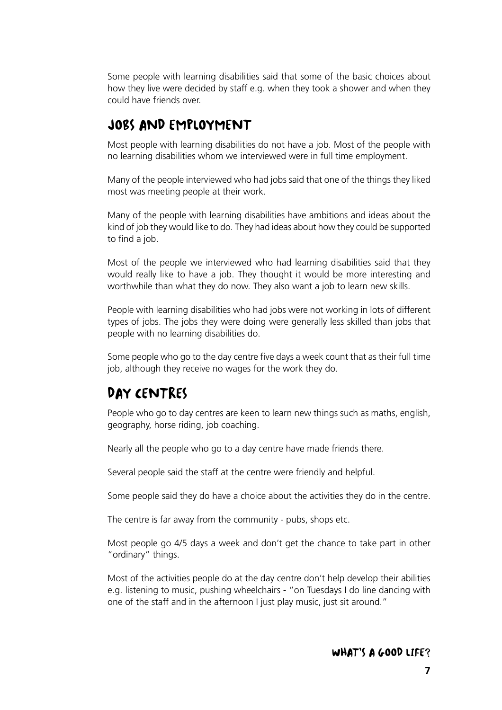Some people with learning disabilities said that some of the basic choices about how they live were decided by staff e.g. when they took a shower and when they could have friends over.

### JOBS AND EMPLOYMENT

Most people with learning disabilities do not have a job. Most of the people with no learning disabilities whom we interviewed were in full time employment.

Many of the people interviewed who had jobs said that one of the things they liked most was meeting people at their work.

Many of the people with learning disabilities have ambitions and ideas about the kind of job they would like to do. They had ideas about how they could be supported to find a job.

Most of the people we interviewed who had learning disabilities said that they would really like to have a job. They thought it would be more interesting and worthwhile than what they do now. They also want a job to learn new skills.

People with learning disabilities who had jobs were not working in lots of different types of jobs. The jobs they were doing were generally less skilled than jobs that people with no learning disabilities do.

Some people who go to the day centre five days a week count that as their full time job, although they receive no wages for the work they do.

## DAY CENTRES

People who go to day centres are keen to learn new things such as maths, english, geography, horse riding, job coaching.

Nearly all the people who go to a day centre have made friends there.

Several people said the staff at the centre were friendly and helpful.

Some people said they do have a choice about the activities they do in the centre.

The centre is far away from the community - pubs, shops etc.

Most people go 4/5 days a week and don't get the chance to take part in other "ordinary" things.

Most of the activities people do at the day centre don't help develop their abilities e.g. listening to music, pushing wheelchairs - "on Tuesdays I do line dancing with one of the staff and in the afternoon I just play music, just sit around."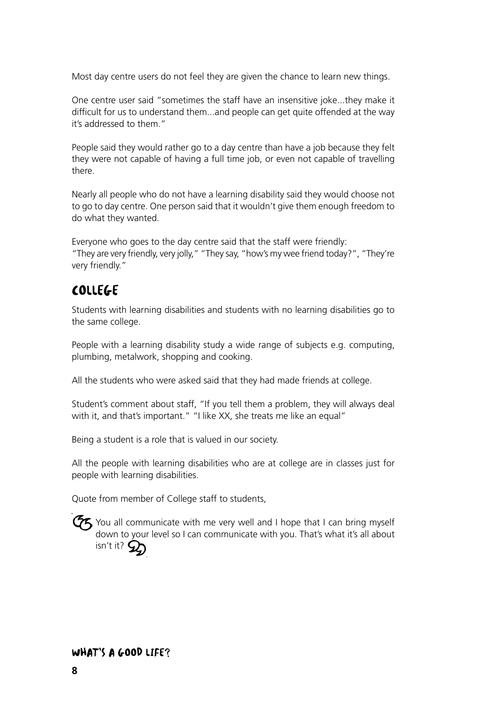Most day centre users do not feel they are given the chance to learn new things.

One centre user said "sometimes the staff have an insensitive joke...they make it difficult for us to understand them...and people can get quite offended at the way it's addressed to them."

People said they would rather go to a day centre than have a job because they felt they were not capable of having a full time job, or even not capable of travelling there.

Nearly all people who do not have a learning disability said they would choose not to go to day centre. One person said that it wouldn't give them enough freedom to do what they wanted.

Everyone who goes to the day centre said that the staff were friendly: "They are very friendly, very jolly," "They say, "how's my wee friend today?", "They're very friendly."

# COLLEGE

Students with learning disabilities and students with no learning disabilities go to the same college.

People with a learning disability study a wide range of subjects e.g. computing, plumbing, metalwork, shopping and cooking.

All the students who were asked said that they had made friends at college.

Student's comment about staff, "If you tell them a problem, they will always deal with it, and that's important." "I like XX, she treats me like an equal"

Being a student is a role that is valued in our society.

All the people with learning disabilities who are at college are in classes just for people with learning disabilities.

Quote from member of College staff to students,

 $G_{5}$  You all communicate with me very well and I hope that I can bring myself down to your level so I can communicate with you. That's what it's all about isn't it? 2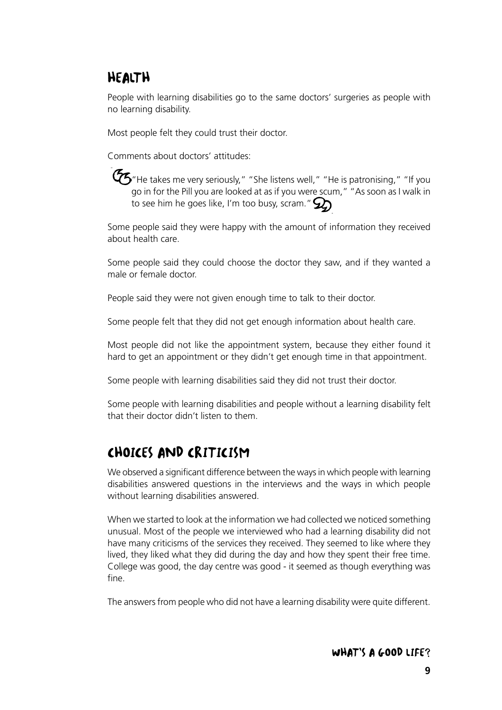# HEALTH

People with learning disabilities go to the same doctors' surgeries as people with no learning disability.

Most people felt they could trust their doctor.

Comments about doctors' attitudes:

 $\mathcal{G}_5$ "He takes me very seriously," "She listens well," "He is patronising," "If you go in for the Pill you are looked at as if you were scum," "As soon as I walk in to see him he goes like, I'm too busy, scram."  $\mathcal{D}$ 

Some people said they were happy with the amount of information they received about health care.

Some people said they could choose the doctor they saw, and if they wanted a male or female doctor.

People said they were not given enough time to talk to their doctor.

Some people felt that they did not get enough information about health care.

Most people did not like the appointment system, because they either found it hard to get an appointment or they didn't get enough time in that appointment.

Some people with learning disabilities said they did not trust their doctor.

Some people with learning disabilities and people without a learning disability felt that their doctor didn't listen to them.

# CHOICES AND CRITICISM

We observed a significant difference between the ways in which people with learning disabilities answered questions in the interviews and the ways in which people without learning disabilities answered.

When we started to look at the information we had collected we noticed something unusual. Most of the people we interviewed who had a learning disability did not have many criticisms of the services they received. They seemed to like where they lived, they liked what they did during the day and how they spent their free time. College was good, the day centre was good - it seemed as though everything was fine.

The answers from people who did not have a learning disability were quite different.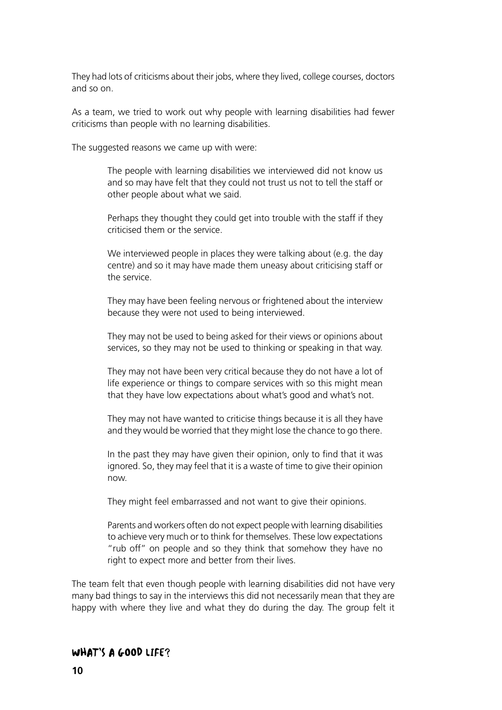They had lots of criticisms about their jobs, where they lived, college courses, doctors and so on.

As a team, we tried to work out why people with learning disabilities had fewer criticisms than people with no learning disabilities.

The suggested reasons we came up with were:

The people with learning disabilities we interviewed did not know us and so may have felt that they could not trust us not to tell the staff or other people about what we said.

Perhaps they thought they could get into trouble with the staff if they criticised them or the service.

We interviewed people in places they were talking about (e.g. the day centre) and so it may have made them uneasy about criticising staff or the service.

They may have been feeling nervous or frightened about the interview because they were not used to being interviewed.

They may not be used to being asked for their views or opinions about services, so they may not be used to thinking or speaking in that way.

They may not have been very critical because they do not have a lot of life experience or things to compare services with so this might mean that they have low expectations about what's good and what's not.

They may not have wanted to criticise things because it is all they have and they would be worried that they might lose the chance to go there.

In the past they may have given their opinion, only to find that it was ignored. So, they may feel that it is a waste of time to give their opinion now.

They might feel embarrassed and not want to give their opinions.

Parents and workers often do not expect people with learning disabilities to achieve very much or to think for themselves. These low expectations "rub off" on people and so they think that somehow they have no right to expect more and better from their lives.

The team felt that even though people with learning disabilities did not have very many bad things to say in the interviews this did not necessarily mean that they are happy with where they live and what they do during the day. The group felt it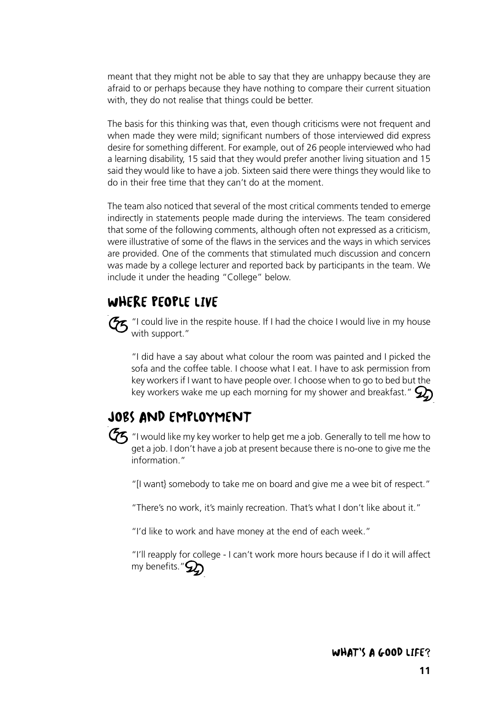meant that they might not be able to say that they are unhappy because they are afraid to or perhaps because they have nothing to compare their current situation with, they do not realise that things could be better.

The basis for this thinking was that, even though criticisms were not frequent and when made they were mild; significant numbers of those interviewed did express desire for something different. For example, out of 26 people interviewed who had a learning disability, 15 said that they would prefer another living situation and 15 said they would like to have a job. Sixteen said there were things they would like to do in their free time that they can't do at the moment.

The team also noticed that several of the most critical comments tended to emerge indirectly in statements people made during the interviews. The team considered that some of the following comments, although often not expressed as a criticism, were illustrative of some of the flaws in the services and the ways in which services are provided. One of the comments that stimulated much discussion and concern was made by a college lecturer and reported back by participants in the team. We include it under the heading "College" below.

### WHERE PEOPLE LIVE



"I could live in the respite house. If I had the choice I would live in my house with support."

"I did have a say about what colour the room was painted and I picked the sofa and the coffee table. I choose what I eat. I have to ask permission from key workers if I want to have people over. I choose when to go to bed but the key workers wake me up each morning for my shower and breakfast."  $\mathcal{D}$ 

# JOBS AND EMPLOYMENT



 $\bm{\mathcal{G}}$  "I would like my key worker to help get me a job. Generally to tell me how to get a job. I don't have a job at present because there is no-one to give me the information."

"[I want} somebody to take me on board and give me a wee bit of respect."

"There's no work, it's mainly recreation. That's what I don't like about it."

"I'd like to work and have money at the end of each week."

"I'll reapply for college - I can't work more hours because if I do it will affect my benefits." $\mathcal{D}$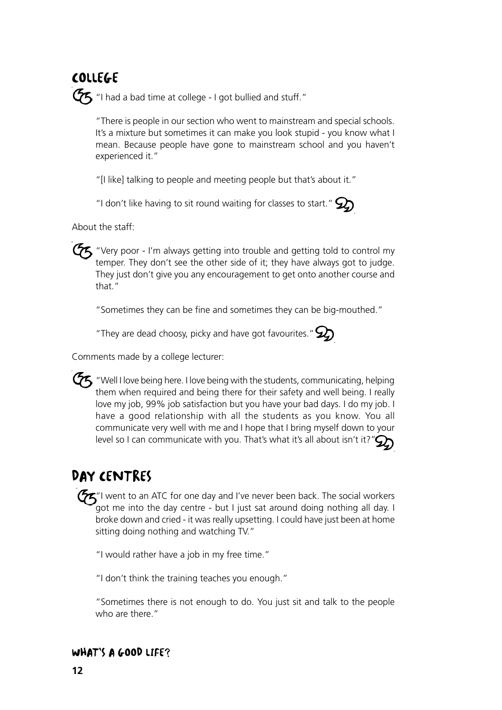# COLLEGE

 $G$  "I had a bad time at college - I got bullied and stuff."

"There is people in our section who went to mainstream and special schools. It's a mixture but sometimes it can make you look stupid - you know what I mean. Because people have gone to mainstream school and you haven't experienced it."

"[I like] talking to people and meeting people but that's about it."

"I don't like having to sit round waiting for classes to start."  $\mathcal{Q}_0$ 

About the staff:

 $\sigma$  "Very poor - I'm always getting into trouble and getting told to control my temper. They don't see the other side of it; they have always got to judge. They just don't give you any encouragement to get onto another course and that."

"Sometimes they can be fine and sometimes they can be big-mouthed."

"They are dead choosy, picky and have got favourites."  $\mathcal{D}$ 

Comments made by a college lecturer:

 $\bm{\mathcal{G}}$  "Well I love being here. I love being with the students, communicating, helping them when required and being there for their safety and well being. I really love my job, 99% job satisfaction but you have your bad days. I do my job. I have a good relationship with all the students as you know. You all communicate very well with me and I hope that I bring myself down to your level so I can communicate with you. That's what it's all about isn't it?" $\mathcal{Q}_2$ 

# DAY CENTRES

"I went to an ATC for one day and I've never been back. The social workers got me into the day centre - but I just sat around doing nothing all day. I broke down and cried - it was really upsetting. I could have just been at home sitting doing nothing and watching TV."

"I would rather have a job in my free time."

"I don't think the training teaches you enough."

"Sometimes there is not enough to do. You just sit and talk to the people who are there."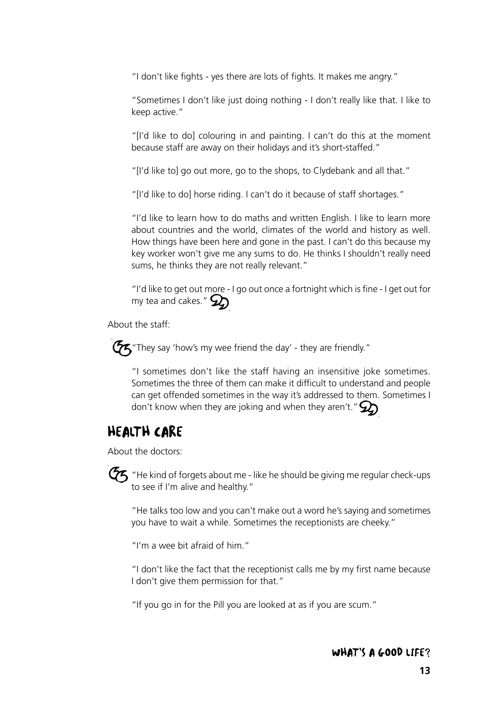"I don't like fights - yes there are lots of fights. It makes me angry."

"Sometimes I don't like just doing nothing - I don't really like that. I like to keep active."

"[I'd like to do] colouring in and painting. I can't do this at the moment because staff are away on their holidays and it's short-staffed."

"[I'd like to] go out more, go to the shops, to Clydebank and all that."

"[I'd like to do] horse riding. I can't do it because of staff shortages."

"I'd like to learn how to do maths and written English. I like to learn more about countries and the world, climates of the world and history as well. How things have been here and gone in the past. I can't do this because my key worker won't give me any sums to do. He thinks I shouldn't really need sums, he thinks they are not really relevant."

"I'd like to get out more - I go out once a fortnight which is fine - I get out for my tea and cakes."  $\mathcal{D}$ 

About the staff:



 $\boldsymbol{\mathcal{F}}$  "They say 'how's my wee friend the day' - they are friendly."

"I sometimes don't like the staff having an insensitive joke sometimes. Sometimes the three of them can make it difficult to understand and people can get offended sometimes in the way it's addressed to them. Sometimes I don't know when they are joking and when they aren't."  $\mathcal{D}$ 

### HEALTH CARE

About the doctors:

 $\mathcal{G}\hspace{-0.5mm}f$  "He kind of forgets about me - like he should be giving me regular check-ups to see if I'm alive and healthy."

"He talks too low and you can't make out a word he's saying and sometimes you have to wait a while. Sometimes the receptionists are cheeky."

"I'm a wee bit afraid of him."

"I don't like the fact that the receptionist calls me by my first name because I don't give them permission for that."

"If you go in for the Pill you are looked at as if you are scum."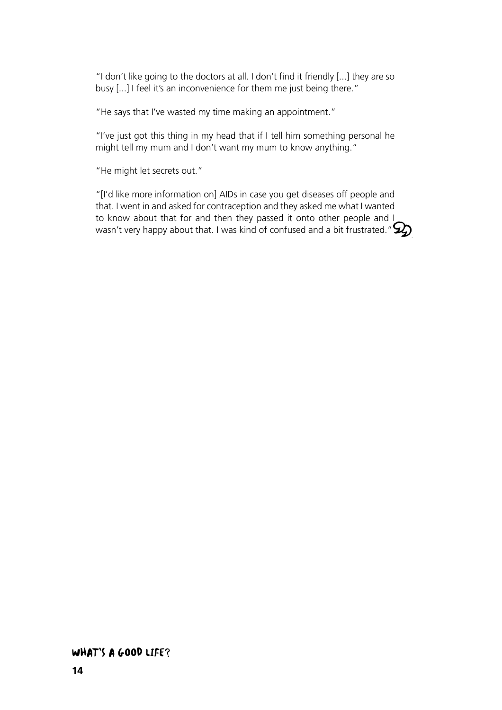"I don't like going to the doctors at all. I don't find it friendly [...] they are so busy [...] I feel it's an inconvenience for them me just being there."

"He says that I've wasted my time making an appointment."

"I've just got this thing in my head that if I tell him something personal he might tell my mum and I don't want my mum to know anything."

"He might let secrets out."

"[I'd like more information on] AIDs in case you get diseases off people and that. I went in and asked for contraception and they asked me what I wanted to know about that for and then they passed it onto other people and I wasn't very happy about that. I was kind of confused and a bit frustrated." $\mathcal{Q}$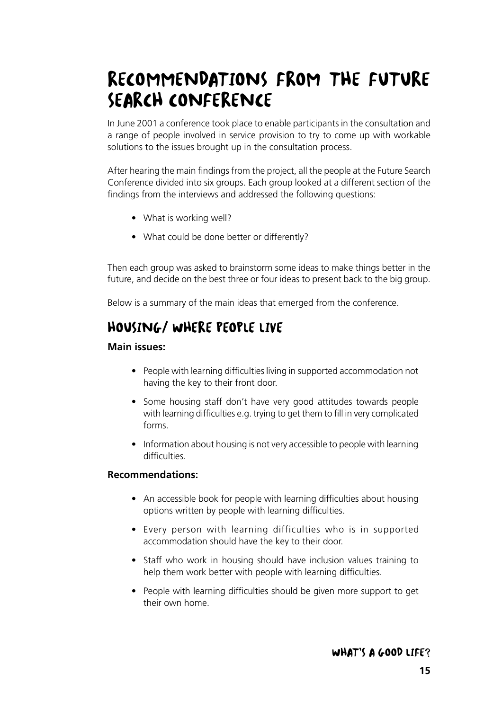# RECOMMENDATIONS FROM THE FUTURE SEARCH CONFERENCE

In June 2001 a conference took place to enable participants in the consultation and a range of people involved in service provision to try to come up with workable solutions to the issues brought up in the consultation process.

After hearing the main findings from the project, all the people at the Future Search Conference divided into six groups. Each group looked at a different section of the findings from the interviews and addressed the following questions:

- What is working well?
- What could be done better or differently?

Then each group was asked to brainstorm some ideas to make things better in the future, and decide on the best three or four ideas to present back to the big group.

Below is a summary of the main ideas that emerged from the conference.

# HOUSING/ WHERE PEOPLE LIVE

#### **Main issues:**

- People with learning difficulties living in supported accommodation not having the key to their front door.
- Some housing staff don't have very good attitudes towards people with learning difficulties e.g. trying to get them to fill in very complicated forms.
- Information about housing is not very accessible to people with learning difficulties.

#### **Recommendations:**

- An accessible book for people with learning difficulties about housing options written by people with learning difficulties.
- Every person with learning difficulties who is in supported accommodation should have the key to their door.
- Staff who work in housing should have inclusion values training to help them work better with people with learning difficulties.
- People with learning difficulties should be given more support to get their own home.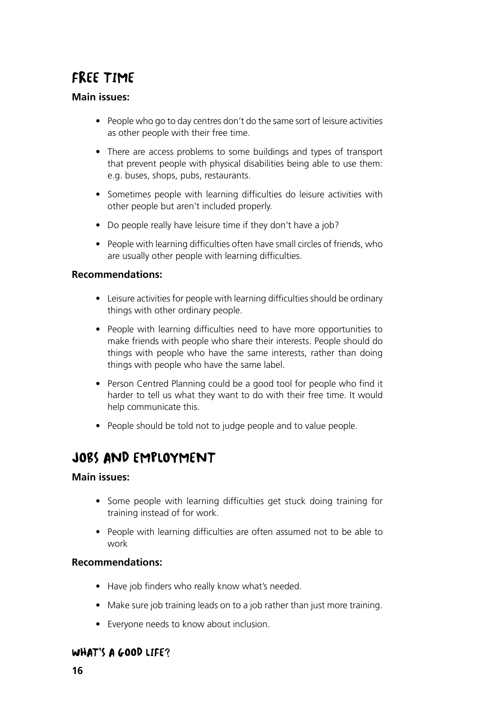# FREE TIME

#### **Main issues:**

- People who go to day centres don't do the same sort of leisure activities as other people with their free time.
- There are access problems to some buildings and types of transport that prevent people with physical disabilities being able to use them: e.g. buses, shops, pubs, restaurants.
- Sometimes people with learning difficulties do leisure activities with other people but aren't included properly.
- Do people really have leisure time if they don't have a job?
- People with learning difficulties often have small circles of friends, who are usually other people with learning difficulties.

#### **Recommendations:**

- Leisure activities for people with learning difficulties should be ordinary things with other ordinary people.
- People with learning difficulties need to have more opportunities to make friends with people who share their interests. People should do things with people who have the same interests, rather than doing things with people who have the same label.
- Person Centred Planning could be a good tool for people who find it harder to tell us what they want to do with their free time. It would help communicate this.
- People should be told not to judge people and to value people.

## JOBS AND EMPLOYMENT

#### **Main issues:**

- Some people with learning difficulties get stuck doing training for training instead of for work.
- People with learning difficulties are often assumed not to be able to work

#### **Recommendations:**

- Have job finders who really know what's needed.
- Make sure job training leads on to a job rather than just more training.
- Everyone needs to know about inclusion.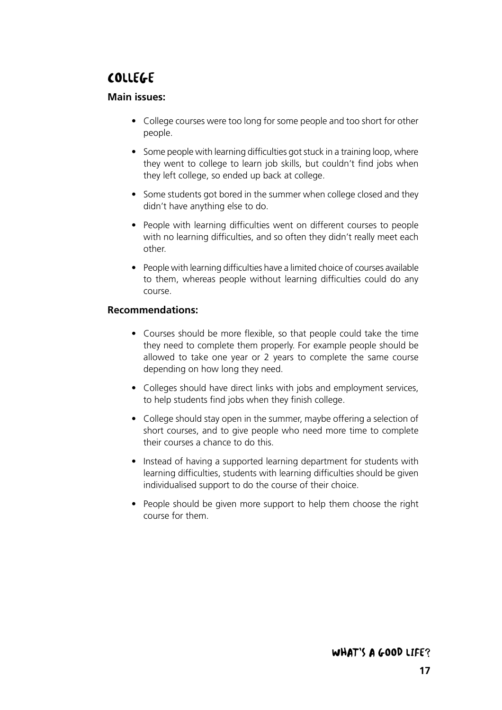# COLLEGE

#### **Main issues:**

- College courses were too long for some people and too short for other people.
- Some people with learning difficulties got stuck in a training loop, where they went to college to learn job skills, but couldn't find jobs when they left college, so ended up back at college.
- Some students got bored in the summer when college closed and they didn't have anything else to do.
- People with learning difficulties went on different courses to people with no learning difficulties, and so often they didn't really meet each other.
- People with learning difficulties have a limited choice of courses available to them, whereas people without learning difficulties could do any course.

#### **Recommendations:**

- Courses should be more flexible, so that people could take the time they need to complete them properly. For example people should be allowed to take one year or 2 years to complete the same course depending on how long they need.
- Colleges should have direct links with jobs and employment services, to help students find jobs when they finish college.
- College should stay open in the summer, maybe offering a selection of short courses, and to give people who need more time to complete their courses a chance to do this.
- Instead of having a supported learning department for students with learning difficulties, students with learning difficulties should be given individualised support to do the course of their choice.
- People should be given more support to help them choose the right course for them.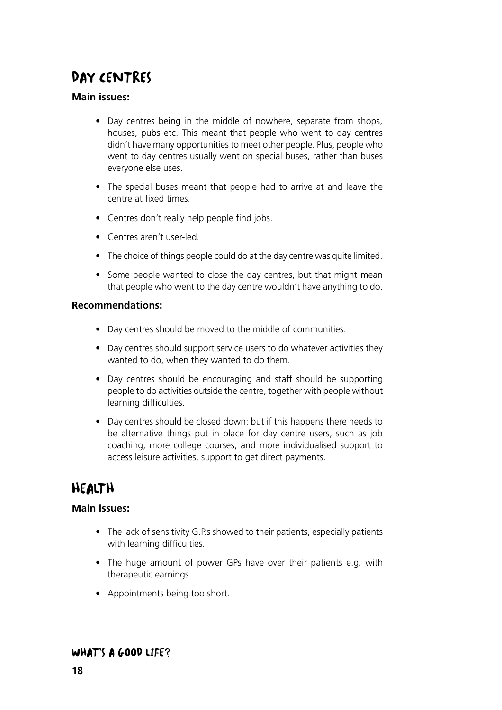# DAY CENTRES

#### **Main issues:**

- Day centres being in the middle of nowhere, separate from shops, houses, pubs etc. This meant that people who went to day centres didn't have many opportunities to meet other people. Plus, people who went to day centres usually went on special buses, rather than buses everyone else uses.
- The special buses meant that people had to arrive at and leave the centre at fixed times.
- Centres don't really help people find jobs.
- Centres aren't user-led.
- The choice of things people could do at the day centre was quite limited.
- Some people wanted to close the day centres, but that might mean that people who went to the day centre wouldn't have anything to do.

#### **Recommendations:**

- Day centres should be moved to the middle of communities.
- Day centres should support service users to do whatever activities they wanted to do, when they wanted to do them.
- Day centres should be encouraging and staff should be supporting people to do activities outside the centre, together with people without learning difficulties.
- Day centres should be closed down: but if this happens there needs to be alternative things put in place for day centre users, such as job coaching, more college courses, and more individualised support to access leisure activities, support to get direct payments.

# HEALTH

#### **Main issues:**

- The lack of sensitivity G.P.s showed to their patients, especially patients with learning difficulties.
- The huge amount of power GPs have over their patients e.g. with therapeutic earnings.
- Appointments being too short.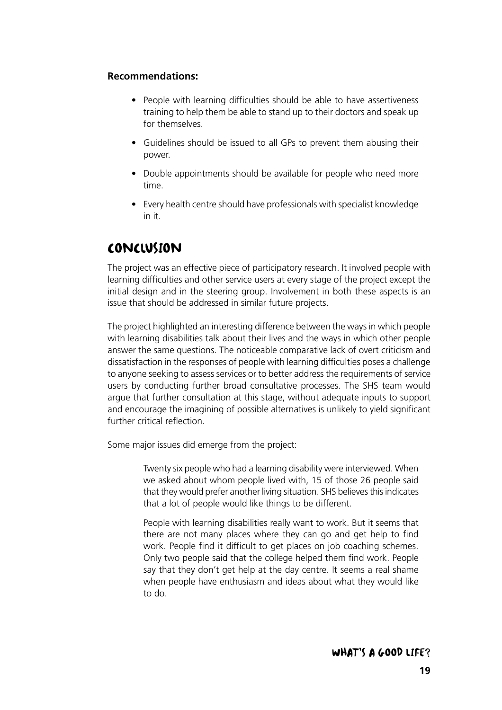#### **Recommendations:**

- People with learning difficulties should be able to have assertiveness training to help them be able to stand up to their doctors and speak up for themselves.
- Guidelines should be issued to all GPs to prevent them abusing their power.
- Double appointments should be available for people who need more time.
- Every health centre should have professionals with specialist knowledge in it.

### CONCLUSION

The project was an effective piece of participatory research. It involved people with learning difficulties and other service users at every stage of the project except the initial design and in the steering group. Involvement in both these aspects is an issue that should be addressed in similar future projects.

The project highlighted an interesting difference between the ways in which people with learning disabilities talk about their lives and the ways in which other people answer the same questions. The noticeable comparative lack of overt criticism and dissatisfaction in the responses of people with learning difficulties poses a challenge to anyone seeking to assess services or to better address the requirements of service users by conducting further broad consultative processes. The SHS team would argue that further consultation at this stage, without adequate inputs to support and encourage the imagining of possible alternatives is unlikely to yield significant further critical reflection.

Some major issues did emerge from the project:

Twenty six people who had a learning disability were interviewed. When we asked about whom people lived with, 15 of those 26 people said that they would prefer another living situation. SHS believes this indicates that a lot of people would like things to be different.

People with learning disabilities really want to work. But it seems that there are not many places where they can go and get help to find work. People find it difficult to get places on job coaching schemes. Only two people said that the college helped them find work. People say that they don't get help at the day centre. It seems a real shame when people have enthusiasm and ideas about what they would like to do.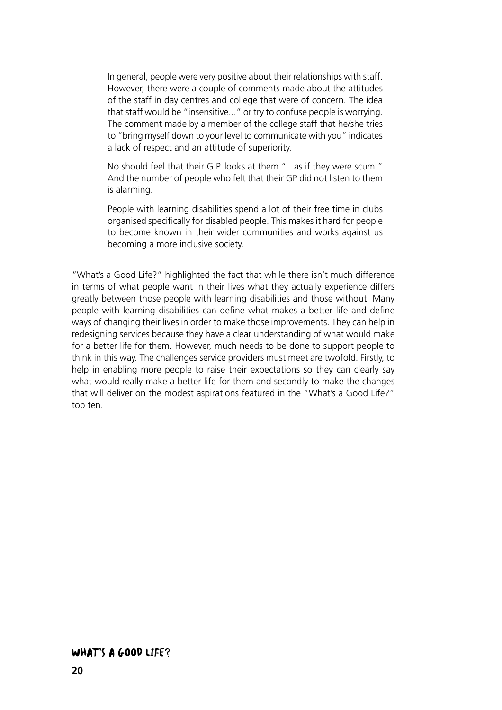In general, people were very positive about their relationships with staff. However, there were a couple of comments made about the attitudes of the staff in day centres and college that were of concern. The idea that staff would be "insensitive..." or try to confuse people is worrying. The comment made by a member of the college staff that he/she tries to "bring myself down to your level to communicate with you" indicates a lack of respect and an attitude of superiority.

No should feel that their G.P. looks at them "...as if they were scum." And the number of people who felt that their GP did not listen to them is alarming.

People with learning disabilities spend a lot of their free time in clubs organised specifically for disabled people. This makes it hard for people to become known in their wider communities and works against us becoming a more inclusive society.

"What's a Good Life?" highlighted the fact that while there isn't much difference in terms of what people want in their lives what they actually experience differs greatly between those people with learning disabilities and those without. Many people with learning disabilities can define what makes a better life and define ways of changing their lives in order to make those improvements. They can help in redesigning services because they have a clear understanding of what would make for a better life for them. However, much needs to be done to support people to think in this way. The challenges service providers must meet are twofold. Firstly, to help in enabling more people to raise their expectations so they can clearly say what would really make a better life for them and secondly to make the changes that will deliver on the modest aspirations featured in the "What's a Good Life?" top ten.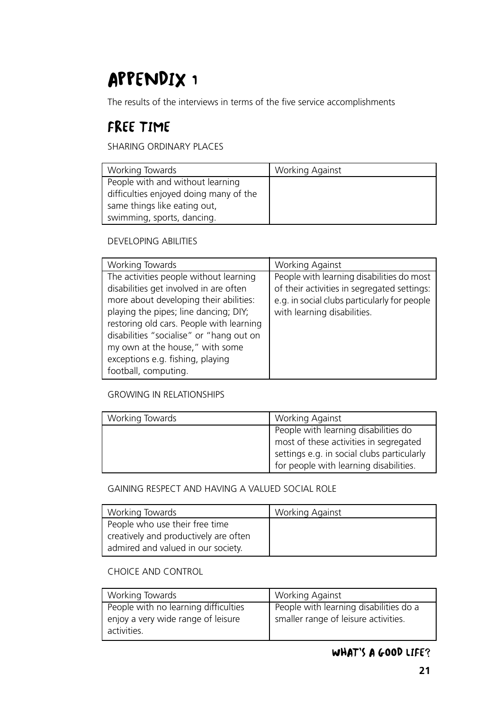# APPENDIX 1

The results of the interviews in terms of the five service accomplishments

# FREE TIME

SHARING ORDINARY PLACES

| Working Towards                        | Working Against |
|----------------------------------------|-----------------|
| People with and without learning       |                 |
| difficulties enjoyed doing many of the |                 |
| same things like eating out,           |                 |
| swimming, sports, dancing.             |                 |

#### DEVELOPING ABILITIES

| Working Towards                          | <b>Working Against</b>                       |
|------------------------------------------|----------------------------------------------|
| The activities people without learning   | People with learning disabilities do most    |
| disabilities get involved in are often   | of their activities in segregated settings:  |
| more about developing their abilities:   | e.g. in social clubs particularly for people |
| playing the pipes; line dancing; DIY;    | with learning disabilities.                  |
| restoring old cars. People with learning |                                              |
| disabilities "socialise" or "hang out on |                                              |
| my own at the house," with some          |                                              |
| exceptions e.g. fishing, playing         |                                              |
| football, computing.                     |                                              |

#### GROWING IN RELATIONSHIPS

| Working Towards | <b>Working Against</b>                     |
|-----------------|--------------------------------------------|
|                 | People with learning disabilities do       |
|                 | most of these activities in segregated     |
|                 | settings e.g. in social clubs particularly |
|                 | for people with learning disabilities.     |

#### GAINING RESPECT AND HAVING A VALUED SOCIAL ROLE

| Working Towards                       | <b>Working Against</b> |
|---------------------------------------|------------------------|
| People who use their free time        |                        |
| creatively and productively are often |                        |
| admired and valued in our society.    |                        |

#### CHOICE AND CONTROL

| Working Towards                                   | <b>Working Against</b>                 |
|---------------------------------------------------|----------------------------------------|
| People with no learning difficulties              | People with learning disabilities do a |
| enjoy a very wide range of leisure<br>activities. | smaller range of leisure activities.   |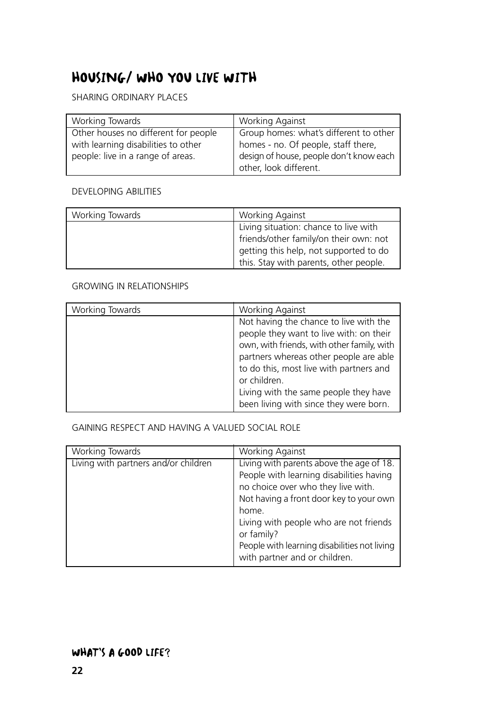# HOUSING/ WHO YOU LIVE WITH

SHARING ORDINARY PLACES

| Working Towards                      | <b>Working Against</b>                  |
|--------------------------------------|-----------------------------------------|
| Other houses no different for people | Group homes: what's different to other  |
| with learning disabilities to other  | homes - no. Of people, staff there,     |
| people: live in a range of areas.    | design of house, people don't know each |
|                                      | other, look different.                  |

#### DEVELOPING ABILITIES

| Working Towards | <b>Working Against</b>                 |
|-----------------|----------------------------------------|
|                 | Living situation: chance to live with  |
|                 | friends/other family/on their own: not |
|                 | getting this help, not supported to do |
|                 | this. Stay with parents, other people. |

#### GROWING IN RELATIONSHIPS

| Working Towards | Working Against                            |
|-----------------|--------------------------------------------|
|                 | Not having the chance to live with the     |
|                 | people they want to live with: on their    |
|                 | own, with friends, with other family, with |
|                 | partners whereas other people are able     |
|                 | to do this, most live with partners and    |
|                 | or children.                               |
|                 | Living with the same people they have      |
|                 | been living with since they were born.     |

GAINING RESPECT AND HAVING A VALUED SOCIAL ROLE

| Working Towards                      | Working Against                                                                                                                                                                                                                                                                                                         |
|--------------------------------------|-------------------------------------------------------------------------------------------------------------------------------------------------------------------------------------------------------------------------------------------------------------------------------------------------------------------------|
| Living with partners and/or children | Living with parents above the age of 18.<br>People with learning disabilities having<br>no choice over who they live with.<br>Not having a front door key to your own<br>home.<br>Living with people who are not friends<br>or family?<br>People with learning disabilities not living<br>with partner and or children. |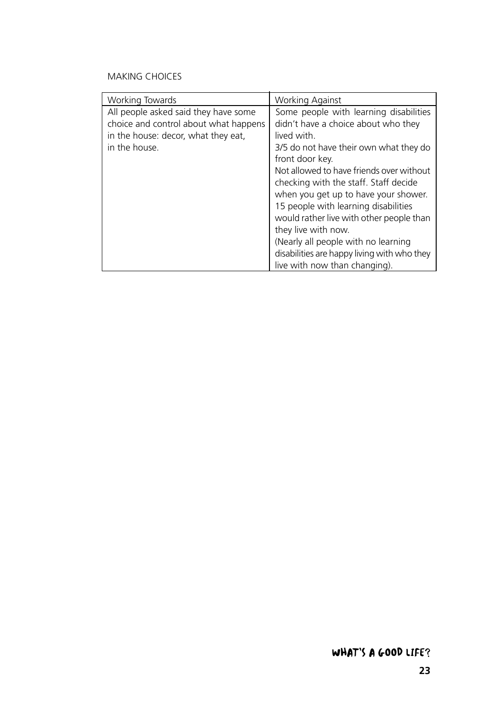#### MAKING CHOICES

| <b>Working Towards</b>                                                                                                                | <b>Working Against</b>                                                                                                                                                                                                                                                                                                                                                                                                                                                                                                   |
|---------------------------------------------------------------------------------------------------------------------------------------|--------------------------------------------------------------------------------------------------------------------------------------------------------------------------------------------------------------------------------------------------------------------------------------------------------------------------------------------------------------------------------------------------------------------------------------------------------------------------------------------------------------------------|
| All people asked said they have some<br>choice and control about what happens<br>in the house: decor, what they eat,<br>in the house. | Some people with learning disabilities<br>didn't have a choice about who they<br>lived with.<br>3/5 do not have their own what they do<br>front door key.<br>Not allowed to have friends over without<br>checking with the staff. Staff decide<br>when you get up to have your shower.<br>15 people with learning disabilities<br>would rather live with other people than<br>they live with now.<br>(Nearly all people with no learning<br>disabilities are happy living with who they<br>live with now than changing). |
|                                                                                                                                       |                                                                                                                                                                                                                                                                                                                                                                                                                                                                                                                          |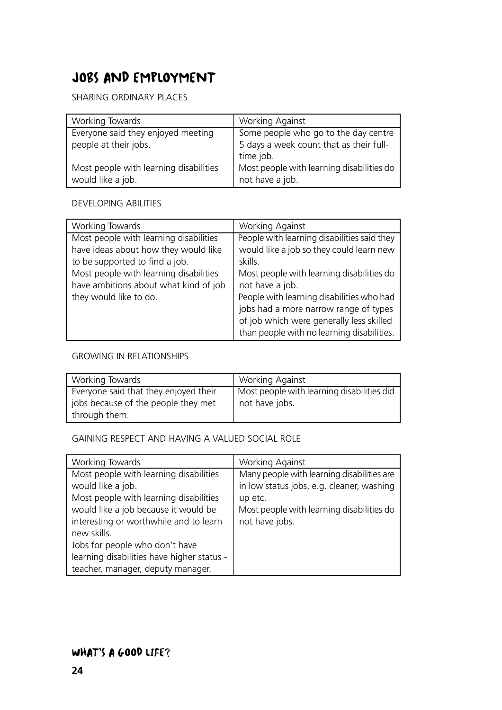# JOBS AND EMPLOYMENT

#### SHARING ORDINARY PLACES

| Working Towards                                             | <b>Working Against</b>                                         |
|-------------------------------------------------------------|----------------------------------------------------------------|
| Everyone said they enjoyed meeting                          | Some people who go to the day centre                           |
| people at their jobs.                                       | 5 days a week count that as their full-<br>time job.           |
| Most people with learning disabilities<br>would like a job. | Most people with learning disabilities do  <br>not have a job. |

#### DEVELOPING ABILITIES

| Working Towards                        | Working Against                             |
|----------------------------------------|---------------------------------------------|
| Most people with learning disabilities | People with learning disabilities said they |
| have ideas about how they would like   | would like a job so they could learn new    |
| to be supported to find a job.         | skills.                                     |
| Most people with learning disabilities | Most people with learning disabilities do   |
| have ambitions about what kind of job  | not have a job.                             |
| they would like to do.                 | People with learning disabilities who had   |
|                                        | jobs had a more narrow range of types       |
|                                        | of job which were generally less skilled    |
|                                        | than people with no learning disabilities.  |

#### GROWING IN RELATIONSHIPS

| Working Towards                                                                               | <b>Working Against</b>                                       |
|-----------------------------------------------------------------------------------------------|--------------------------------------------------------------|
| Everyone said that they enjoyed their<br>jobs because of the people they met<br>through them. | Most people with learning disabilities did<br>not have jobs. |

#### GAINING RESPECT AND HAVING A VALUED SOCIAL ROLE

| Working Towards                            | <b>Working Against</b>                     |
|--------------------------------------------|--------------------------------------------|
| Most people with learning disabilities     | Many people with learning disabilities are |
| would like a job.                          | in low status jobs, e.g. cleaner, washing  |
| Most people with learning disabilities     | up etc.                                    |
| would like a job because it would be       | Most people with learning disabilities do  |
| interesting or worthwhile and to learn     | not have jobs.                             |
| new skills.                                |                                            |
| Jobs for people who don't have             |                                            |
| learning disabilities have higher status - |                                            |
| teacher, manager, deputy manager.          |                                            |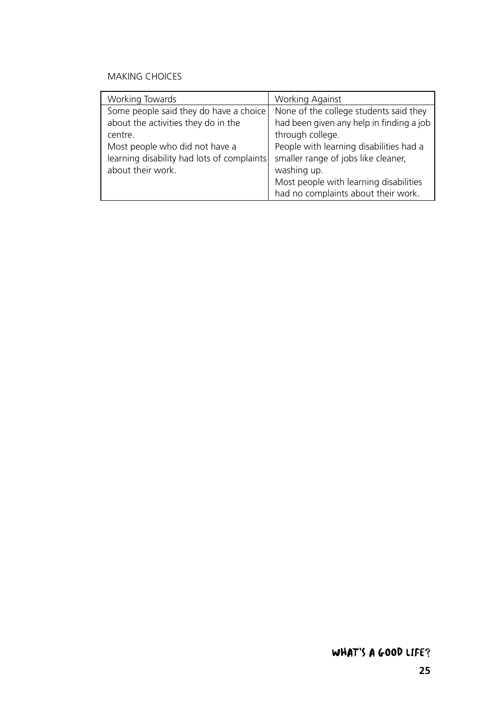#### MAKING CHOICES

| Working Towards                            | <b>Working Against</b>                   |
|--------------------------------------------|------------------------------------------|
| Some people said they do have a choice     | None of the college students said they   |
| about the activities they do in the        | had been given any help in finding a job |
| centre.                                    | through college.                         |
| Most people who did not have a             | People with learning disabilities had a  |
| learning disability had lots of complaints | smaller range of jobs like cleaner,      |
| about their work.                          | washing up.                              |
|                                            | Most people with learning disabilities   |
|                                            | had no complaints about their work.      |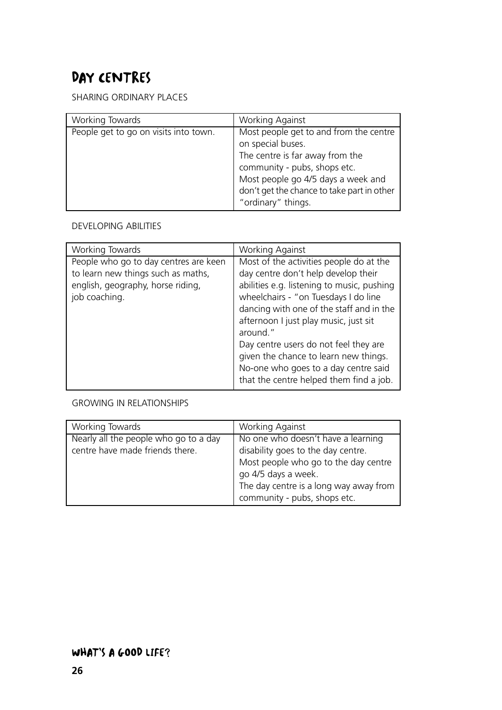# DAY CENTRES

SHARING ORDINARY PLACES

| Working Towards                       | <b>Working Against</b>                                                                                                                                                                                                                   |
|---------------------------------------|------------------------------------------------------------------------------------------------------------------------------------------------------------------------------------------------------------------------------------------|
| People get to go on visits into town. | Most people get to and from the centre<br>on special buses.<br>The centre is far away from the<br>community - pubs, shops etc.<br>Most people go 4/5 days a week and<br>don't get the chance to take part in other<br>"ordinary" things. |

#### DEVELOPING ABILITIES

| Working Towards                       | <b>Working Against</b>                     |
|---------------------------------------|--------------------------------------------|
| People who go to day centres are keen | Most of the activities people do at the    |
| to learn new things such as maths,    | day centre don't help develop their        |
| english, geography, horse riding,     | abilities e.g. listening to music, pushing |
| job coaching.                         | wheelchairs - "on Tuesdays I do line       |
|                                       | dancing with one of the staff and in the   |
|                                       | afternoon I just play music, just sit      |
|                                       | around."                                   |
|                                       | Day centre users do not feel they are      |
|                                       | given the chance to learn new things.      |
|                                       | No-one who goes to a day centre said       |
|                                       | that the centre helped them find a job.    |

#### GROWING IN RELATIONSHIPS

| Working Towards                       | <b>Working Against</b>                 |
|---------------------------------------|----------------------------------------|
| Nearly all the people who go to a day | No one who doesn't have a learning     |
| centre have made friends there.       | disability goes to the day centre.     |
|                                       | Most people who go to the day centre   |
|                                       | go 4/5 days a week.                    |
|                                       | The day centre is a long way away from |
|                                       | community - pubs, shops etc.           |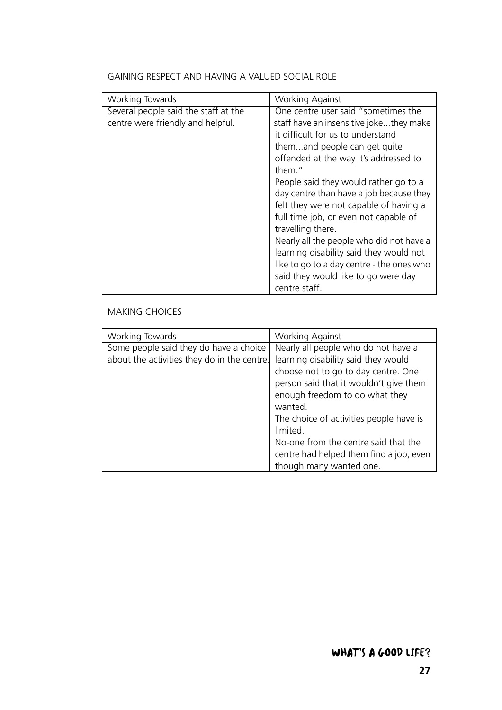| Working Towards                      | <b>Working Against</b>                  |
|--------------------------------------|-----------------------------------------|
| Several people said the staff at the | One centre user said "sometimes the     |
| centre were friendly and helpful.    | staff have an insensitive jokethey make |
|                                      | it difficult for us to understand       |

#### GAINING RESPECT AND HAVING A VALUED SOCIAL ROLE

| themand people can get quite<br>offended at the way it's addressed to |
|-----------------------------------------------------------------------|
| them."                                                                |
| People said they would rather go to a                                 |
| day centre than have a job because they                               |
| felt they were not capable of having a                                |
| full time job, or even not capable of                                 |
| travelling there.                                                     |
| Nearly all the people who did not have a                              |
| learning disability said they would not                               |
| like to go to a day centre - the ones who                             |
| said they would like to go were day                                   |
| centre staff.                                                         |

#### MAKING CHOICES

| Working Towards                                                                       | Working Against                                                                                                                                                                                                                                                                                         |
|---------------------------------------------------------------------------------------|---------------------------------------------------------------------------------------------------------------------------------------------------------------------------------------------------------------------------------------------------------------------------------------------------------|
| Some people said they do have a choice<br>about the activities they do in the centre. | Nearly all people who do not have a<br>learning disability said they would<br>choose not to go to day centre. One<br>person said that it wouldn't give them<br>enough freedom to do what they<br>wanted.<br>The choice of activities people have is<br>limited.<br>No-one from the centre said that the |
|                                                                                       | centre had helped them find a job, even                                                                                                                                                                                                                                                                 |
|                                                                                       | though many wanted one.                                                                                                                                                                                                                                                                                 |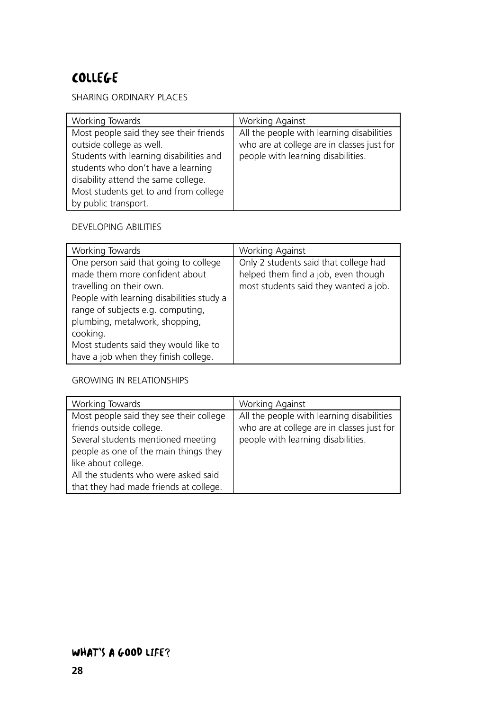# COLLEGE

SHARING ORDINARY PLACES

| Working Towards                         | <b>Working Against</b>                     |
|-----------------------------------------|--------------------------------------------|
| Most people said they see their friends | All the people with learning disabilities  |
| outside college as well.                | who are at college are in classes just for |
| Students with learning disabilities and | people with learning disabilities.         |
| students who don't have a learning      |                                            |
| disability attend the same college.     |                                            |
| Most students get to and from college   |                                            |
| by public transport.                    |                                            |

#### DEVELOPING ABILITIES

| Working Towards                                                                                                                                                                                                                                                                                                      | <b>Working Against</b>                                                                                                |
|----------------------------------------------------------------------------------------------------------------------------------------------------------------------------------------------------------------------------------------------------------------------------------------------------------------------|-----------------------------------------------------------------------------------------------------------------------|
| One person said that going to college<br>made them more confident about<br>travelling on their own.<br>People with learning disabilities study a<br>range of subjects e.g. computing,<br>plumbing, metalwork, shopping,<br>cooking.<br>Most students said they would like to<br>have a job when they finish college. | Only 2 students said that college had<br>helped them find a job, even though<br>most students said they wanted a job. |

#### GROWING IN RELATIONSHIPS

| Working Towards                         | <b>Working Against</b>                     |
|-----------------------------------------|--------------------------------------------|
| Most people said they see their college | All the people with learning disabilities  |
| friends outside college.                | who are at college are in classes just for |
| Several students mentioned meeting      | people with learning disabilities.         |
| people as one of the main things they   |                                            |
| like about college.                     |                                            |
| All the students who were asked said    |                                            |
| that they had made friends at college.  |                                            |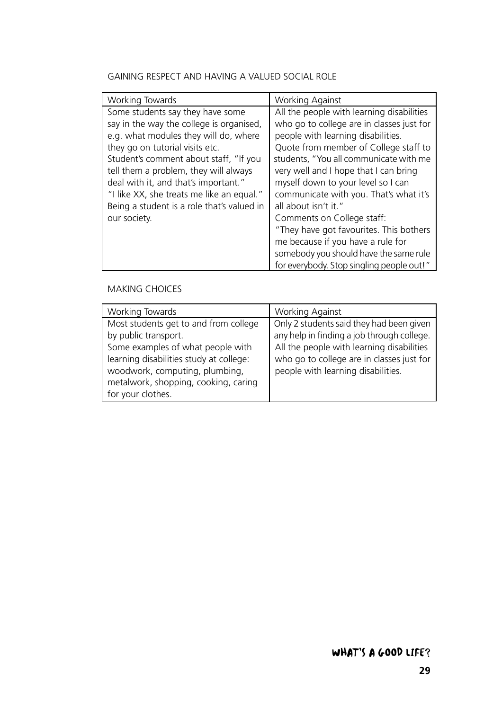#### GAINING RESPECT AND HAVING A VALUED SOCIAL ROLE

| Working Towards                            | Working Against                           |
|--------------------------------------------|-------------------------------------------|
| Some students say they have some           | All the people with learning disabilities |
| say in the way the college is organised,   | who go to college are in classes just for |
| e.g. what modules they will do, where      | people with learning disabilities.        |
| they go on tutorial visits etc.            | Quote from member of College staff to     |
| Student's comment about staff, "If you     | students, "You all communicate with me    |
| tell them a problem, they will always      | very well and I hope that I can bring     |
| deal with it, and that's important."       | myself down to your level so I can        |
| "I like XX, she treats me like an equal."  | communicate with you. That's what it's    |
| Being a student is a role that's valued in | all about isn't it."                      |
| our society.                               | Comments on College staff:                |
|                                            | "They have got favourites. This bothers   |
|                                            | me because if you have a rule for         |
|                                            | somebody you should have the same rule    |
|                                            | for everybody. Stop singling people out!" |

#### MAKING CHOICES

| Working Towards                         | <b>Working Against</b>                     |
|-----------------------------------------|--------------------------------------------|
| Most students get to and from college   | Only 2 students said they had been given   |
| by public transport.                    | any help in finding a job through college. |
| Some examples of what people with       | All the people with learning disabilities  |
| learning disabilities study at college: | who go to college are in classes just for  |
| woodwork, computing, plumbing,          | people with learning disabilities.         |
| metalwork, shopping, cooking, caring    |                                            |
| for your clothes.                       |                                            |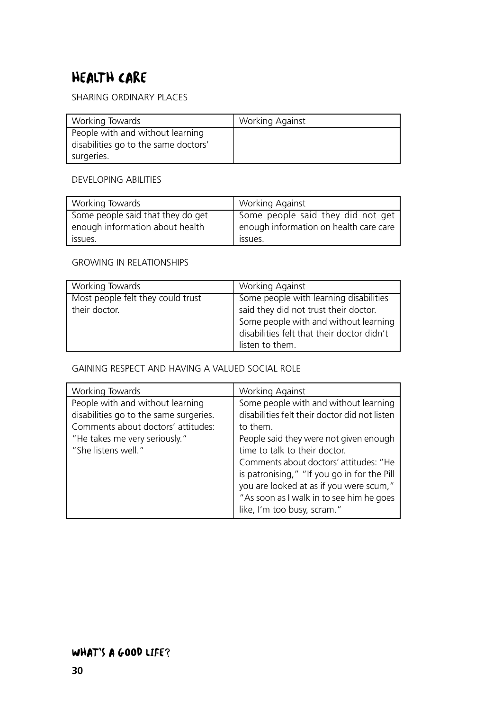# HEALTH CARE

SHARING ORDINARY PLACES

| Working Towards                      | <b>Working Against</b> |
|--------------------------------------|------------------------|
| People with and without learning     |                        |
| disabilities go to the same doctors' |                        |
| surgeries.                           |                        |

#### DEVELOPING ABILITIES

| Working Towards                   | <b>Working Against</b>                 |
|-----------------------------------|----------------------------------------|
| Some people said that they do get | Some people said they did not get      |
| enough information about health   | enough information on health care care |
| issues.                           | ISSUES.                                |

#### GROWING IN RELATIONSHIPS

| Working Towards                   | <b>Working Against</b>                     |
|-----------------------------------|--------------------------------------------|
| Most people felt they could trust | Some people with learning disabilities     |
| their doctor.                     | said they did not trust their doctor.      |
|                                   | Some people with and without learning      |
|                                   | disabilities felt that their doctor didn't |
|                                   | listen to them.                            |

#### GAINING RESPECT AND HAVING A VALUED SOCIAL ROLE

| Working Towards                                                                                                                                                          | Working Against                                                                                                                                                                                                                                                                                                                                                                              |
|--------------------------------------------------------------------------------------------------------------------------------------------------------------------------|----------------------------------------------------------------------------------------------------------------------------------------------------------------------------------------------------------------------------------------------------------------------------------------------------------------------------------------------------------------------------------------------|
| People with and without learning<br>disabilities go to the same surgeries.<br>Comments about doctors' attitudes:<br>"He takes me very seriously."<br>"She listens well." | Some people with and without learning<br>disabilities felt their doctor did not listen<br>to them.<br>People said they were not given enough<br>time to talk to their doctor.<br>Comments about doctors' attitudes: "He<br>is patronising," "If you go in for the Pill<br>you are looked at as if you were scum,"<br>"As soon as I walk in to see him he goes<br>like, I'm too busy, scram." |